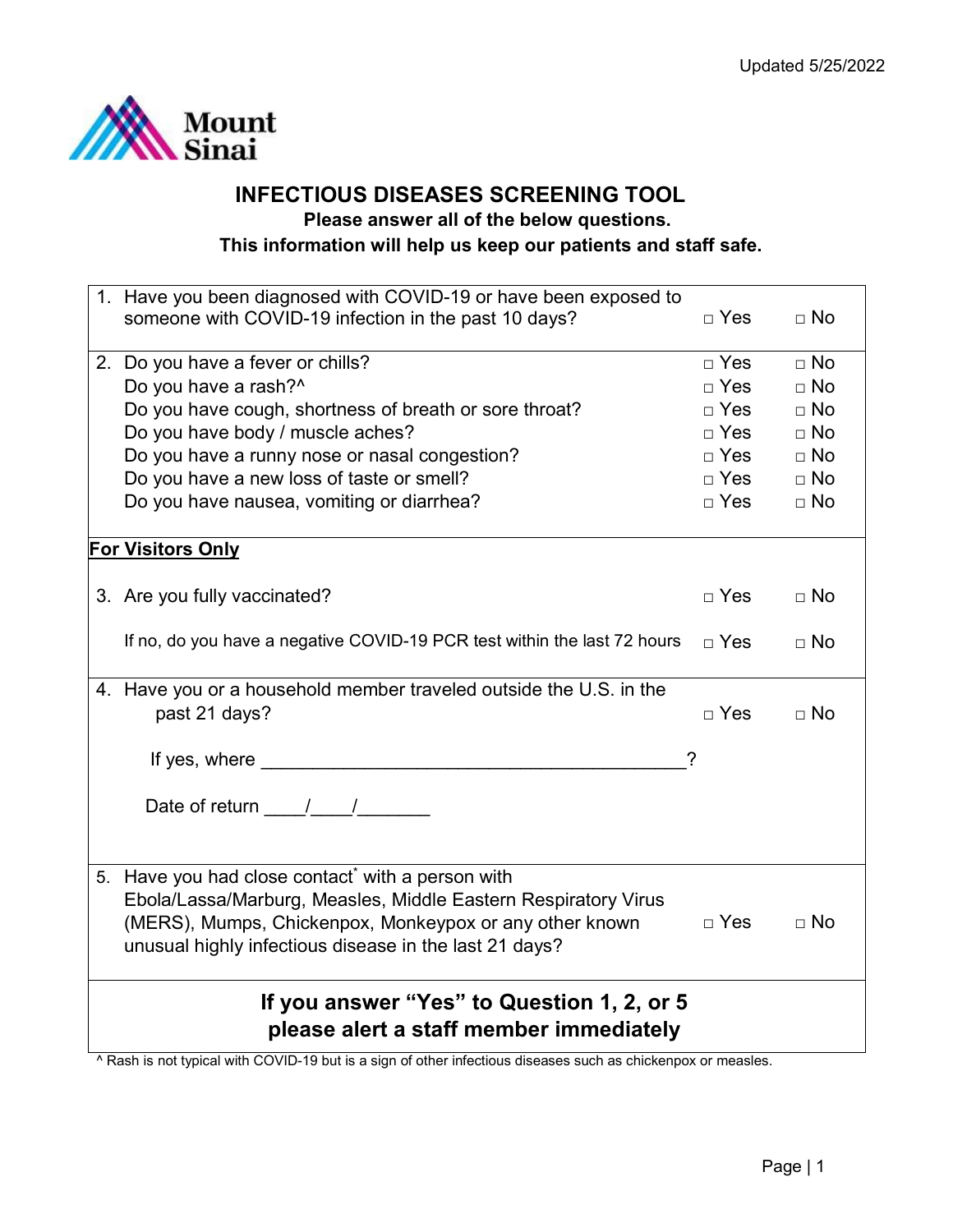

## **INFECTIOUS DISEASES SCREENING TOOL Please answer all of the below questions.**

## **This information will help us keep our patients and staff safe.**

| 1. Have you been diagnosed with COVID-19 or have been exposed to                                                                                                                                                                                                                                                                                                                                                  |              |             |  |  |
|-------------------------------------------------------------------------------------------------------------------------------------------------------------------------------------------------------------------------------------------------------------------------------------------------------------------------------------------------------------------------------------------------------------------|--------------|-------------|--|--|
| someone with COVID-19 infection in the past 10 days?                                                                                                                                                                                                                                                                                                                                                              | $\Box$ Yes   | $\Box$ No   |  |  |
|                                                                                                                                                                                                                                                                                                                                                                                                                   |              |             |  |  |
| 2. Do you have a fever or chills?                                                                                                                                                                                                                                                                                                                                                                                 | $\Box$ Yes   | $\Box$ No   |  |  |
| Do you have a rash?^                                                                                                                                                                                                                                                                                                                                                                                              | $\sqcap$ Yes | $\sqcap$ No |  |  |
| Do you have cough, shortness of breath or sore throat?                                                                                                                                                                                                                                                                                                                                                            | $\Box$ Yes   | $\sqcap$ No |  |  |
| Do you have body / muscle aches?                                                                                                                                                                                                                                                                                                                                                                                  | $\Box$ Yes   | $\Box$ No   |  |  |
| Do you have a runny nose or nasal congestion?                                                                                                                                                                                                                                                                                                                                                                     | $\Box$ Yes   | $\Box$ No   |  |  |
| Do you have a new loss of taste or smell?                                                                                                                                                                                                                                                                                                                                                                         | $\Box$ Yes   | $\Box$ No   |  |  |
| Do you have nausea, vomiting or diarrhea?                                                                                                                                                                                                                                                                                                                                                                         | $\Box$ Yes   | $\Box$ No   |  |  |
|                                                                                                                                                                                                                                                                                                                                                                                                                   |              |             |  |  |
| <b>For Visitors Only</b>                                                                                                                                                                                                                                                                                                                                                                                          |              |             |  |  |
|                                                                                                                                                                                                                                                                                                                                                                                                                   |              |             |  |  |
| 3. Are you fully vaccinated?                                                                                                                                                                                                                                                                                                                                                                                      | $\Box$ Yes   | $\Box$ No   |  |  |
|                                                                                                                                                                                                                                                                                                                                                                                                                   |              |             |  |  |
| If no, do you have a negative COVID-19 PCR test within the last 72 hours                                                                                                                                                                                                                                                                                                                                          | $\Box$ Yes   | $\Box$ No   |  |  |
|                                                                                                                                                                                                                                                                                                                                                                                                                   |              |             |  |  |
| 4. Have you or a household member traveled outside the U.S. in the                                                                                                                                                                                                                                                                                                                                                |              |             |  |  |
| past 21 days?                                                                                                                                                                                                                                                                                                                                                                                                     | $\Box$ Yes   | $\Box$ No   |  |  |
|                                                                                                                                                                                                                                                                                                                                                                                                                   |              |             |  |  |
|                                                                                                                                                                                                                                                                                                                                                                                                                   | ?            |             |  |  |
|                                                                                                                                                                                                                                                                                                                                                                                                                   |              |             |  |  |
| Date of return $\frac{1}{\sqrt{1-\frac{1}{2}}}\frac{1}{\sqrt{1-\frac{1}{2}}}\frac{1}{\sqrt{1-\frac{1}{2}}}\frac{1}{\sqrt{1-\frac{1}{2}}}\frac{1}{\sqrt{1-\frac{1}{2}}}\frac{1}{\sqrt{1-\frac{1}{2}}}\frac{1}{\sqrt{1-\frac{1}{2}}}\frac{1}{\sqrt{1-\frac{1}{2}}}\frac{1}{\sqrt{1-\frac{1}{2}}}\frac{1}{\sqrt{1-\frac{1}{2}}}\frac{1}{\sqrt{1-\frac{1}{2}}}\frac{1}{\sqrt{1-\frac{1}{2}}}\frac{1}{\sqrt{1-\frac{1$ |              |             |  |  |
|                                                                                                                                                                                                                                                                                                                                                                                                                   |              |             |  |  |
|                                                                                                                                                                                                                                                                                                                                                                                                                   |              |             |  |  |
| 5. Have you had close contact* with a person with                                                                                                                                                                                                                                                                                                                                                                 |              |             |  |  |
|                                                                                                                                                                                                                                                                                                                                                                                                                   |              |             |  |  |
| Ebola/Lassa/Marburg, Measles, Middle Eastern Respiratory Virus                                                                                                                                                                                                                                                                                                                                                    | $\Box$ Yes   | $\Box$ No   |  |  |
| (MERS), Mumps, Chickenpox, Monkeypox or any other known                                                                                                                                                                                                                                                                                                                                                           |              |             |  |  |
| unusual highly infectious disease in the last 21 days?                                                                                                                                                                                                                                                                                                                                                            |              |             |  |  |
|                                                                                                                                                                                                                                                                                                                                                                                                                   |              |             |  |  |
| If you answer "Yes" to Question 1, 2, or 5                                                                                                                                                                                                                                                                                                                                                                        |              |             |  |  |
| please alert a staff member immediately                                                                                                                                                                                                                                                                                                                                                                           |              |             |  |  |
|                                                                                                                                                                                                                                                                                                                                                                                                                   |              |             |  |  |

^ Rash is not typical with COVID-19 but is a sign of other infectious diseases such as chickenpox or measles.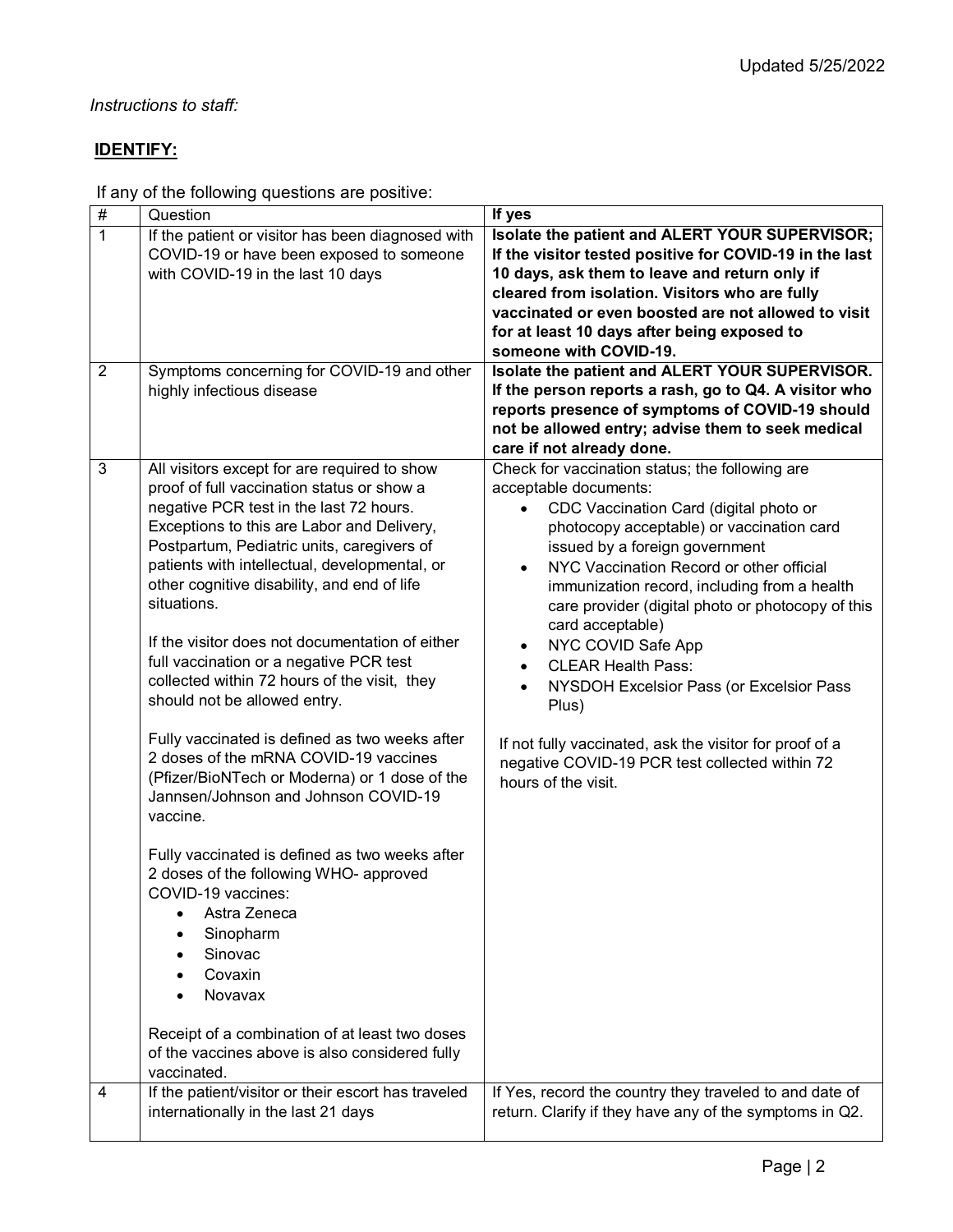## *Instructions to staff:*

# **IDENTIFY:**

If any of the following questions are positive:

| $\#$           | Question                                                                              | If yes                                                  |
|----------------|---------------------------------------------------------------------------------------|---------------------------------------------------------|
| $\overline{1}$ | If the patient or visitor has been diagnosed with                                     | Isolate the patient and ALERT YOUR SUPERVISOR;          |
|                | COVID-19 or have been exposed to someone                                              | If the visitor tested positive for COVID-19 in the last |
|                | with COVID-19 in the last 10 days                                                     | 10 days, ask them to leave and return only if           |
|                |                                                                                       | cleared from isolation. Visitors who are fully          |
|                |                                                                                       | vaccinated or even boosted are not allowed to visit     |
|                |                                                                                       | for at least 10 days after being exposed to             |
|                |                                                                                       | someone with COVID-19.                                  |
| $\overline{2}$ | Symptoms concerning for COVID-19 and other                                            | Isolate the patient and ALERT YOUR SUPERVISOR.          |
|                | highly infectious disease                                                             | If the person reports a rash, go to Q4. A visitor who   |
|                |                                                                                       | reports presence of symptoms of COVID-19 should         |
|                |                                                                                       | not be allowed entry; advise them to seek medical       |
|                |                                                                                       | care if not already done.                               |
| 3              | All visitors except for are required to show                                          | Check for vaccination status; the following are         |
|                | proof of full vaccination status or show a                                            | acceptable documents:                                   |
|                |                                                                                       |                                                         |
|                | negative PCR test in the last 72 hours.<br>Exceptions to this are Labor and Delivery, | CDC Vaccination Card (digital photo or                  |
|                | Postpartum, Pediatric units, caregivers of                                            | photocopy acceptable) or vaccination card               |
|                | patients with intellectual, developmental, or                                         | issued by a foreign government                          |
|                |                                                                                       | NYC Vaccination Record or other official                |
|                | other cognitive disability, and end of life<br>situations.                            | immunization record, including from a health            |
|                |                                                                                       | care provider (digital photo or photocopy of this       |
|                |                                                                                       | card acceptable)                                        |
|                | If the visitor does not documentation of either                                       | NYC COVID Safe App                                      |
|                | full vaccination or a negative PCR test                                               | <b>CLEAR Health Pass:</b>                               |
|                | collected within 72 hours of the visit, they                                          | NYSDOH Excelsior Pass (or Excelsior Pass<br>$\bullet$   |
|                | should not be allowed entry.                                                          | Plus)                                                   |
|                |                                                                                       |                                                         |
|                | Fully vaccinated is defined as two weeks after                                        | If not fully vaccinated, ask the visitor for proof of a |
|                | 2 doses of the mRNA COVID-19 vaccines                                                 | negative COVID-19 PCR test collected within 72          |
|                | (Pfizer/BioNTech or Moderna) or 1 dose of the                                         | hours of the visit.                                     |
|                | Jannsen/Johnson and Johnson COVID-19                                                  |                                                         |
|                | vaccine.                                                                              |                                                         |
|                |                                                                                       |                                                         |
|                | Fully vaccinated is defined as two weeks after                                        |                                                         |
|                | 2 doses of the following WHO- approved                                                |                                                         |
|                | COVID-19 vaccines:                                                                    |                                                         |
|                | Astra Zeneca                                                                          |                                                         |
|                | Sinopharm                                                                             |                                                         |
|                | Sinovac                                                                               |                                                         |
|                | Covaxin                                                                               |                                                         |
|                | Novavax                                                                               |                                                         |
|                |                                                                                       |                                                         |
|                | Receipt of a combination of at least two doses                                        |                                                         |
|                | of the vaccines above is also considered fully                                        |                                                         |
|                | vaccinated.                                                                           |                                                         |
| 4              | If the patient/visitor or their escort has traveled                                   | If Yes, record the country they traveled to and date of |
|                | internationally in the last 21 days                                                   | return. Clarify if they have any of the symptoms in Q2. |
|                |                                                                                       |                                                         |